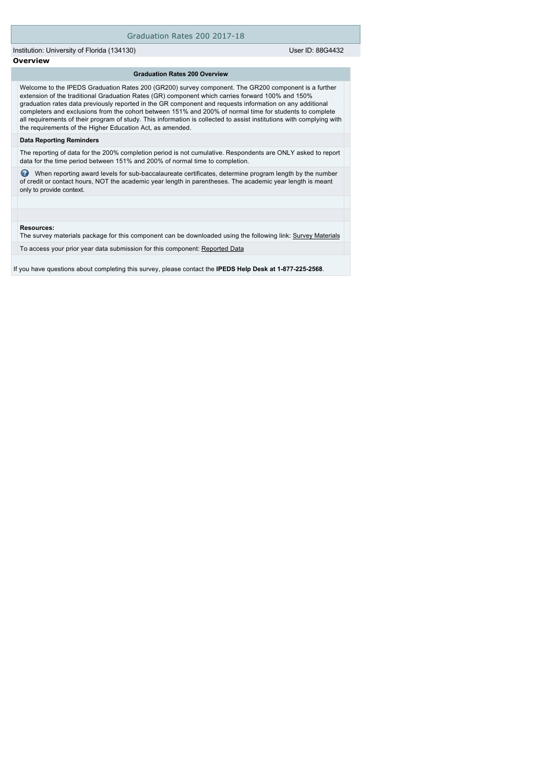# Graduation Rates 200 2017-18

Institution: University of Florida (134130) User ID: 88G4432

**Overview**

### **Graduation Rates 200 Overview**

Welcome to the IPEDS Graduation Rates 200 (GR200) survey component. The GR200 component is a further extension of the traditional Graduation Rates (GR) component which carries forward 100% and 150% graduation rates data previously reported in the GR component and requests information on any additional completers and exclusions from the cohort between 151% and 200% of normal time for students to complete all requirements of their program of study. This information is collected to assist institutions with complying with the requirements of the Higher Education Act, as amended.

## **Data Reporting Reminders**

The reporting of data for the 200% completion period is not cumulative. Respondents are ONLY asked to report data for the time period between 151% and 200% of normal time to completion.

 When reporting award levels for sub-baccalaureate certificates, determine program length by the number of credit or contact hours, NOT the academic year length in parentheses. The academic year length is meant only to provide context.

#### **Resources:**

The survey materials package for this component can be downloaded using the following link: [Survey Materials](https://surveys.nces.ed.gov/ipeds/VisIndex.aspx)

To access your prior year data submission for this component: [Reported Data](e:/Inetpub/wwwroot/IPEDS2K17_18/PriorYearDataRedirect.aspx?survey_id=2)

If you have questions about completing this survey, please contact the **IPEDS Help Desk at 1-877-225-2568**.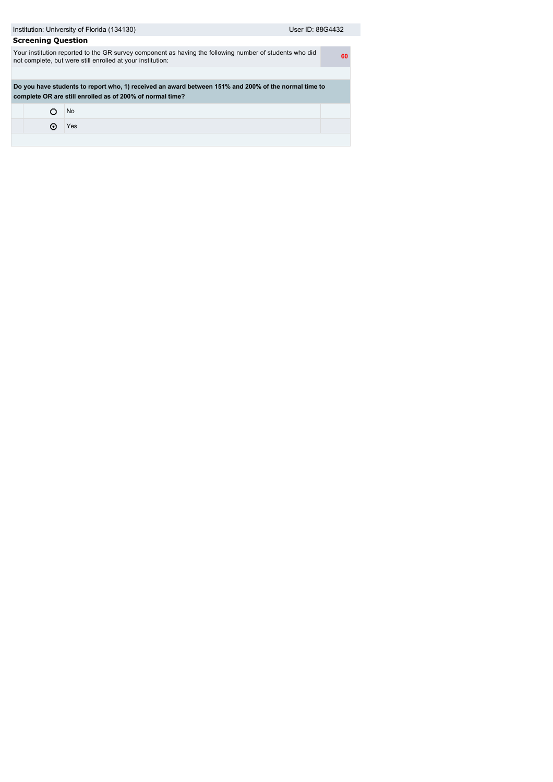| Institution: University of Florida (134130)<br>User ID: 88G4432                                                                                                       |           |  |  |  |  |  |
|-----------------------------------------------------------------------------------------------------------------------------------------------------------------------|-----------|--|--|--|--|--|
| <b>Screening Question</b>                                                                                                                                             |           |  |  |  |  |  |
| Your institution reported to the GR survey component as having the following number of students who did<br>not complete, but were still enrolled at your institution: |           |  |  |  |  |  |
|                                                                                                                                                                       |           |  |  |  |  |  |
| Do you have students to report who, 1) received an award between 151% and 200% of the normal time to<br>complete OR are still enrolled as of 200% of normal time?     |           |  |  |  |  |  |
|                                                                                                                                                                       | <b>No</b> |  |  |  |  |  |
| о                                                                                                                                                                     | Yes       |  |  |  |  |  |
|                                                                                                                                                                       |           |  |  |  |  |  |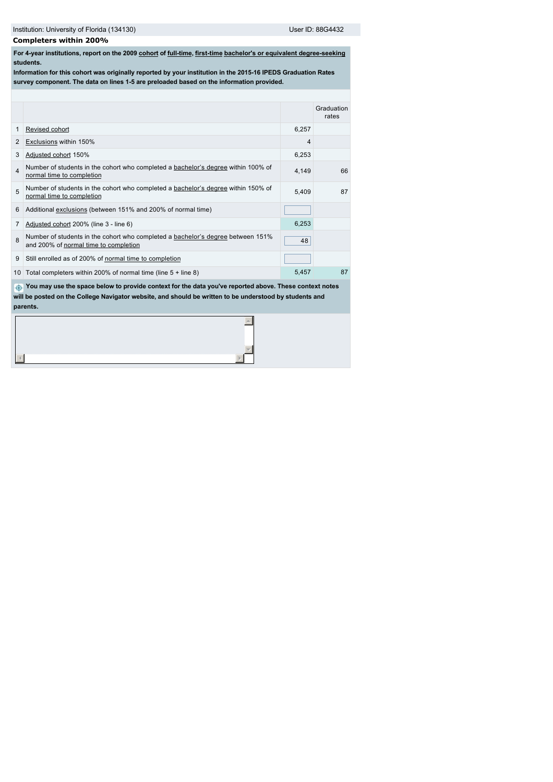# **Completers within 200%**

**For 4-year institutions, report on the 2009 [cohort](javascript:openglossary(119)) of [full-time,](javascript:openglossary(259)) [first-time](javascript:openglossary(241)) [bachelor's or equivalent degree-seeking](javascript:openglossary(79)) students.**

**Information for this cohort was originally reported by your institution in the 2015-16 IPEDS Graduation Rates survey component. The data on lines 1-5 are preloaded based on the information provided.**

|                                                                                                                                                                                                                               |                                                                                                                          |       | Graduation<br>rates |  |  |  |  |
|-------------------------------------------------------------------------------------------------------------------------------------------------------------------------------------------------------------------------------|--------------------------------------------------------------------------------------------------------------------------|-------|---------------------|--|--|--|--|
| 1                                                                                                                                                                                                                             | Revised cohort                                                                                                           | 6,257 |                     |  |  |  |  |
| 2                                                                                                                                                                                                                             | Exclusions within 150%                                                                                                   | 4     |                     |  |  |  |  |
| 3                                                                                                                                                                                                                             | Adjusted cohort 150%                                                                                                     | 6,253 |                     |  |  |  |  |
| $\Delta$                                                                                                                                                                                                                      | Number of students in the cohort who completed a bachelor's degree within 100% of<br>normal time to completion           | 4,149 | 66                  |  |  |  |  |
| 5                                                                                                                                                                                                                             | Number of students in the cohort who completed a bachelor's degree within 150% of<br>normal time to completion           | 5.409 | 87                  |  |  |  |  |
| 6                                                                                                                                                                                                                             | Additional exclusions (between 151% and 200% of normal time)                                                             |       |                     |  |  |  |  |
| 7                                                                                                                                                                                                                             | Adjusted cohort 200% (line 3 - line 6)                                                                                   | 6,253 |                     |  |  |  |  |
| 8                                                                                                                                                                                                                             | Number of students in the cohort who completed a bachelor's degree between 151%<br>and 200% of normal time to completion | 48    |                     |  |  |  |  |
| 9                                                                                                                                                                                                                             | Still enrolled as of 200% of normal time to completion                                                                   |       |                     |  |  |  |  |
| 10                                                                                                                                                                                                                            | Total completers within 200% of normal time (line $5 +$ line 8)                                                          | 5.457 | 87                  |  |  |  |  |
| You may use the space below to provide context for the data you've reported above. These context notes<br>$\oplus$<br>will be posted on the College Navigator website, and should be written to be understood by students and |                                                                                                                          |       |                     |  |  |  |  |
|                                                                                                                                                                                                                               | parents.                                                                                                                 |       |                     |  |  |  |  |
|                                                                                                                                                                                                                               |                                                                                                                          |       |                     |  |  |  |  |

 $\overline{b}$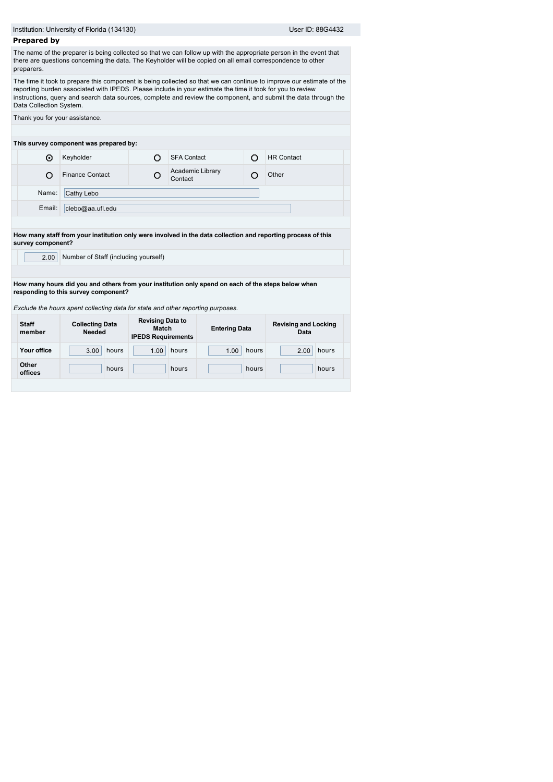|                         | Institution: University of Florida (134130)                                                                |                                                               |                      |       | User ID: 88G4432                                                                                                                                                                                                                        |  |
|-------------------------|------------------------------------------------------------------------------------------------------------|---------------------------------------------------------------|----------------------|-------|-----------------------------------------------------------------------------------------------------------------------------------------------------------------------------------------------------------------------------------------|--|
| <b>Prepared by</b>      |                                                                                                            |                                                               |                      |       |                                                                                                                                                                                                                                         |  |
| preparers.              | there are questions concerning the data. The Keyholder will be copied on all email correspondence to other |                                                               |                      |       | The name of the preparer is being collected so that we can follow up with the appropriate person in the event that                                                                                                                      |  |
| Data Collection System. | reporting burden associated with IPEDS. Please include in your estimate the time it took for you to review |                                                               |                      |       | The time it took to prepare this component is being collected so that we can continue to improve our estimate of the<br>instructions, query and search data sources, complete and review the component, and submit the data through the |  |
|                         | Thank you for your assistance.                                                                             |                                                               |                      |       |                                                                                                                                                                                                                                         |  |
|                         |                                                                                                            |                                                               |                      |       |                                                                                                                                                                                                                                         |  |
|                         | This survey component was prepared by:                                                                     |                                                               |                      |       |                                                                                                                                                                                                                                         |  |
| ⊙                       | Keyholder                                                                                                  | O                                                             | <b>SFA Contact</b>   | Ō     | <b>HR Contact</b>                                                                                                                                                                                                                       |  |
| Ω                       | <b>Finance Contact</b>                                                                                     | O<br>Contact                                                  | Academic Library     | O     | Other                                                                                                                                                                                                                                   |  |
| Name:                   | Cathy Lebo                                                                                                 |                                                               |                      |       |                                                                                                                                                                                                                                         |  |
| Email:                  | clebo@aa.ufl.edu                                                                                           |                                                               |                      |       |                                                                                                                                                                                                                                         |  |
|                         |                                                                                                            |                                                               |                      |       |                                                                                                                                                                                                                                         |  |
|                         |                                                                                                            |                                                               |                      |       | How many staff from your institution only were involved in the data collection and reporting process of this                                                                                                                            |  |
| survey component?       |                                                                                                            |                                                               |                      |       |                                                                                                                                                                                                                                         |  |
| 2.00                    | Number of Staff (including yourself)                                                                       |                                                               |                      |       |                                                                                                                                                                                                                                         |  |
|                         |                                                                                                            |                                                               |                      |       |                                                                                                                                                                                                                                         |  |
|                         | How many hours did you and others from your institution only spend on each of the steps below when         |                                                               |                      |       |                                                                                                                                                                                                                                         |  |
|                         | responding to this survey component?                                                                       |                                                               |                      |       |                                                                                                                                                                                                                                         |  |
|                         | Exclude the hours spent collecting data for state and other reporting purposes.                            |                                                               |                      |       |                                                                                                                                                                                                                                         |  |
| <b>Staff</b><br>member  | <b>Collecting Data</b><br><b>Needed</b>                                                                    | <b>Revising Data to</b><br>Match<br><b>IPEDS Requirements</b> | <b>Entering Data</b> |       | <b>Revising and Locking</b><br>Data                                                                                                                                                                                                     |  |
|                         |                                                                                                            | hours<br>1.00                                                 |                      | hours | hours<br>2.00                                                                                                                                                                                                                           |  |
| Your office             | hours<br>3.00                                                                                              |                                                               | 1.00                 |       |                                                                                                                                                                                                                                         |  |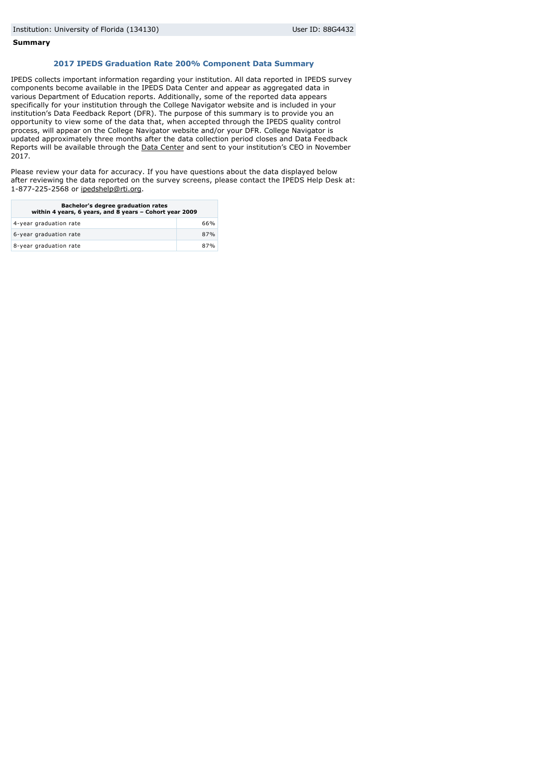#### **Summary**

# **2017 IPEDS Graduation Rate 200% Component Data Summary**

IPEDS collects important information regarding your institution. All data reported in IPEDS survey components become available in the IPEDS Data Center and appear as aggregated data in various Department of Education reports. Additionally, some of the reported data appears specifically for your institution through the College Navigator website and is included in your institution's Data Feedback Report (DFR). The purpose of this summary is to provide you an opportunity to view some of the data that, when accepted through the IPEDS quality control process, will appear on the College Navigator website and/or your DFR. College Navigator is updated approximately three months after the data collection period closes and Data Feedback Reports will be available through the [Data Center](http://nces.ed.gov/ipeds/datacenter/) and sent to your institution's CEO in November 2017.

Please review your data for accuracy. If you have questions about the data displayed below after reviewing the data reported on the survey screens, please contact the IPEDS Help Desk at: 1-877-225-2568 or [ipedshelp@rti.org](mailto:ipedshelp@rti.org).

| Bachelor's degree graduation rates<br>within 4 years, 6 years, and 8 years - Cohort year 2009 |     |  |
|-----------------------------------------------------------------------------------------------|-----|--|
| 4-year graduation rate                                                                        | 66% |  |
| 6-year graduation rate                                                                        | 87% |  |
| 8-year graduation rate                                                                        | 87% |  |